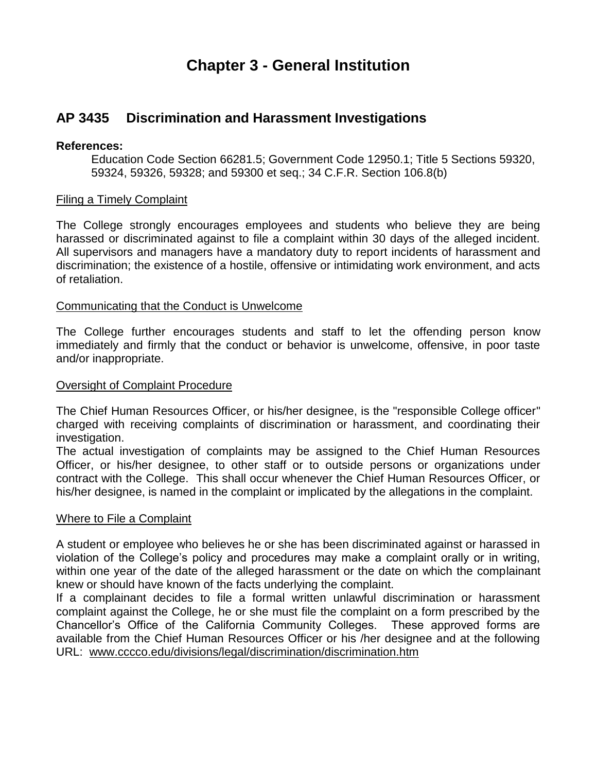# **Chapter 3 - General Institution**

# **AP 3435 Discrimination and Harassment Investigations**

# **References:**

Education Code Section 66281.5; Government Code 12950.1; Title 5 Sections 59320, 59324, 59326, 59328; and 59300 et seq.; 34 C.F.R. Section 106.8(b)

# Filing a Timely Complaint

The College strongly encourages employees and students who believe they are being harassed or discriminated against to file a complaint within 30 days of the alleged incident. All supervisors and managers have a mandatory duty to report incidents of harassment and discrimination; the existence of a hostile, offensive or intimidating work environment, and acts of retaliation.

#### Communicating that the Conduct is Unwelcome

The College further encourages students and staff to let the offending person know immediately and firmly that the conduct or behavior is unwelcome, offensive, in poor taste and/or inappropriate.

#### **Oversight of Complaint Procedure**

The Chief Human Resources Officer, or his/her designee, is the "responsible College officer" charged with receiving complaints of discrimination or harassment, and coordinating their investigation.

The actual investigation of complaints may be assigned to the Chief Human Resources Officer, or his/her designee, to other staff or to outside persons or organizations under contract with the College. This shall occur whenever the Chief Human Resources Officer, or his/her designee, is named in the complaint or implicated by the allegations in the complaint.

# Where to File a Complaint

A student or employee who believes he or she has been discriminated against or harassed in violation of the College's policy and procedures may make a complaint orally or in writing, within one year of the date of the alleged harassment or the date on which the complainant knew or should have known of the facts underlying the complaint.

If a complainant decides to file a formal written unlawful discrimination or harassment complaint against the College, he or she must file the complaint on a form prescribed by the Chancellor's Office of the California Community Colleges. These approved forms are available from the Chief Human Resources Officer or his /her designee and at the following URL: [www.cccco.edu/divisions/legal/discrimination/discrimination.htm](http://www.cccco.edu/divisions/legal/discrimination/discrimination.htm)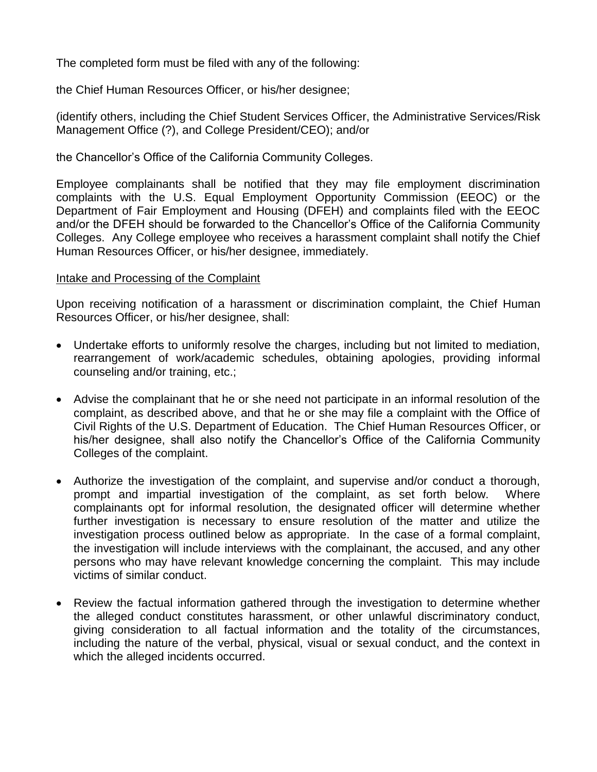The completed form must be filed with any of the following:

the Chief Human Resources Officer, or his/her designee;

(identify others, including the Chief Student Services Officer, the Administrative Services/Risk Management Office (?), and College President/CEO); and/or

the Chancellor's Office of the California Community Colleges.

Employee complainants shall be notified that they may file employment discrimination complaints with the U.S. Equal Employment Opportunity Commission (EEOC) or the Department of Fair Employment and Housing (DFEH) and complaints filed with the EEOC and/or the DFEH should be forwarded to the Chancellor's Office of the California Community Colleges. Any College employee who receives a harassment complaint shall notify the Chief Human Resources Officer, or his/her designee, immediately.

# Intake and Processing of the Complaint

Upon receiving notification of a harassment or discrimination complaint, the Chief Human Resources Officer, or his/her designee, shall:

- Undertake efforts to uniformly resolve the charges, including but not limited to mediation, rearrangement of work/academic schedules, obtaining apologies, providing informal counseling and/or training, etc.;
- Advise the complainant that he or she need not participate in an informal resolution of the complaint, as described above, and that he or she may file a complaint with the Office of Civil Rights of the U.S. Department of Education. The Chief Human Resources Officer, or his/her designee, shall also notify the Chancellor's Office of the California Community Colleges of the complaint.
- Authorize the investigation of the complaint, and supervise and/or conduct a thorough, prompt and impartial investigation of the complaint, as set forth below. Where complainants opt for informal resolution, the designated officer will determine whether further investigation is necessary to ensure resolution of the matter and utilize the investigation process outlined below as appropriate. In the case of a formal complaint, the investigation will include interviews with the complainant, the accused, and any other persons who may have relevant knowledge concerning the complaint. This may include victims of similar conduct.
- Review the factual information gathered through the investigation to determine whether the alleged conduct constitutes harassment, or other unlawful discriminatory conduct, giving consideration to all factual information and the totality of the circumstances, including the nature of the verbal, physical, visual or sexual conduct, and the context in which the alleged incidents occurred.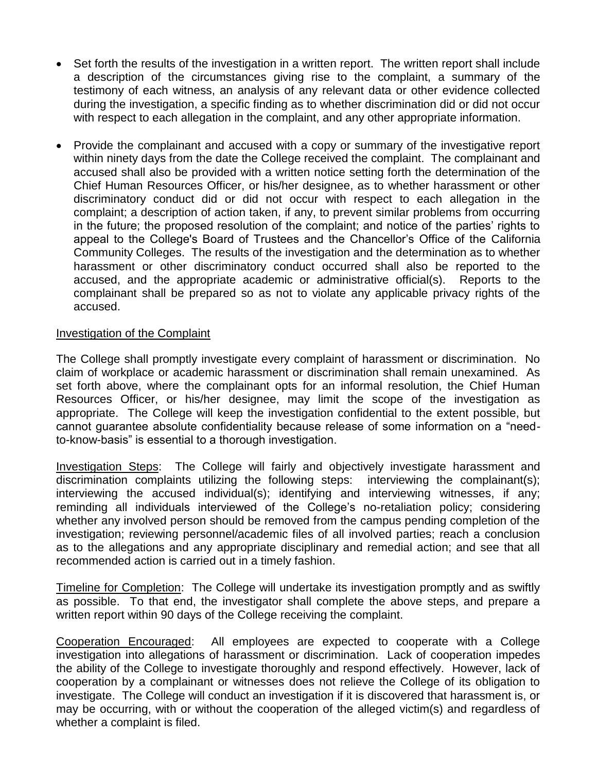- Set forth the results of the investigation in a written report. The written report shall include a description of the circumstances giving rise to the complaint, a summary of the testimony of each witness, an analysis of any relevant data or other evidence collected during the investigation, a specific finding as to whether discrimination did or did not occur with respect to each allegation in the complaint, and any other appropriate information.
- Provide the complainant and accused with a copy or summary of the investigative report within ninety days from the date the College received the complaint. The complainant and accused shall also be provided with a written notice setting forth the determination of the Chief Human Resources Officer, or his/her designee, as to whether harassment or other discriminatory conduct did or did not occur with respect to each allegation in the complaint; a description of action taken, if any, to prevent similar problems from occurring in the future; the proposed resolution of the complaint; and notice of the parties' rights to appeal to the College's Board of Trustees and the Chancellor's Office of the California Community Colleges. The results of the investigation and the determination as to whether harassment or other discriminatory conduct occurred shall also be reported to the accused, and the appropriate academic or administrative official(s). Reports to the complainant shall be prepared so as not to violate any applicable privacy rights of the accused.

# Investigation of the Complaint

The College shall promptly investigate every complaint of harassment or discrimination. No claim of workplace or academic harassment or discrimination shall remain unexamined. As set forth above, where the complainant opts for an informal resolution, the Chief Human Resources Officer, or his/her designee, may limit the scope of the investigation as appropriate. The College will keep the investigation confidential to the extent possible, but cannot guarantee absolute confidentiality because release of some information on a "needto-know-basis" is essential to a thorough investigation.

Investigation Steps: The College will fairly and objectively investigate harassment and discrimination complaints utilizing the following steps: interviewing the complainant(s); interviewing the accused individual(s); identifying and interviewing witnesses, if any; reminding all individuals interviewed of the College's no-retaliation policy; considering whether any involved person should be removed from the campus pending completion of the investigation; reviewing personnel/academic files of all involved parties; reach a conclusion as to the allegations and any appropriate disciplinary and remedial action; and see that all recommended action is carried out in a timely fashion.

Timeline for Completion: The College will undertake its investigation promptly and as swiftly as possible. To that end, the investigator shall complete the above steps, and prepare a written report within 90 days of the College receiving the complaint.

Cooperation Encouraged: All employees are expected to cooperate with a College investigation into allegations of harassment or discrimination. Lack of cooperation impedes the ability of the College to investigate thoroughly and respond effectively. However, lack of cooperation by a complainant or witnesses does not relieve the College of its obligation to investigate. The College will conduct an investigation if it is discovered that harassment is, or may be occurring, with or without the cooperation of the alleged victim(s) and regardless of whether a complaint is filed.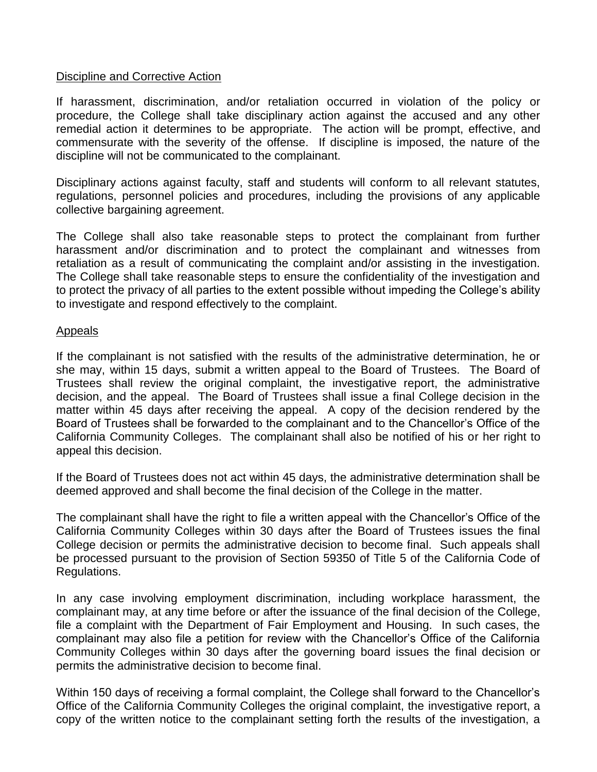#### Discipline and Corrective Action

If harassment, discrimination, and/or retaliation occurred in violation of the policy or procedure, the College shall take disciplinary action against the accused and any other remedial action it determines to be appropriate. The action will be prompt, effective, and commensurate with the severity of the offense. If discipline is imposed, the nature of the discipline will not be communicated to the complainant.

Disciplinary actions against faculty, staff and students will conform to all relevant statutes, regulations, personnel policies and procedures, including the provisions of any applicable collective bargaining agreement.

The College shall also take reasonable steps to protect the complainant from further harassment and/or discrimination and to protect the complainant and witnesses from retaliation as a result of communicating the complaint and/or assisting in the investigation. The College shall take reasonable steps to ensure the confidentiality of the investigation and to protect the privacy of all parties to the extent possible without impeding the College's ability to investigate and respond effectively to the complaint.

#### Appeals

If the complainant is not satisfied with the results of the administrative determination, he or she may, within 15 days, submit a written appeal to the Board of Trustees. The Board of Trustees shall review the original complaint, the investigative report, the administrative decision, and the appeal. The Board of Trustees shall issue a final College decision in the matter within 45 days after receiving the appeal. A copy of the decision rendered by the Board of Trustees shall be forwarded to the complainant and to the Chancellor's Office of the California Community Colleges. The complainant shall also be notified of his or her right to appeal this decision.

If the Board of Trustees does not act within 45 days, the administrative determination shall be deemed approved and shall become the final decision of the College in the matter.

The complainant shall have the right to file a written appeal with the Chancellor's Office of the California Community Colleges within 30 days after the Board of Trustees issues the final College decision or permits the administrative decision to become final. Such appeals shall be processed pursuant to the provision of Section 59350 of Title 5 of the California Code of Regulations.

In any case involving employment discrimination, including workplace harassment, the complainant may, at any time before or after the issuance of the final decision of the College, file a complaint with the Department of Fair Employment and Housing. In such cases, the complainant may also file a petition for review with the Chancellor's Office of the California Community Colleges within 30 days after the governing board issues the final decision or permits the administrative decision to become final.

Within 150 days of receiving a formal complaint, the College shall forward to the Chancellor's Office of the California Community Colleges the original complaint, the investigative report, a copy of the written notice to the complainant setting forth the results of the investigation, a